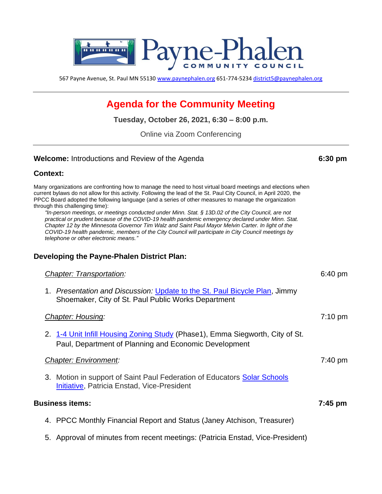

567 Payne Avenue, St. Paul MN 55130 [www.paynephalen.org](http://www.paynephalen.org/) 651-774-5234 [district5@paynephalen.org](mailto:district5@paynephalen.org)

# **Agenda for the Community Meeting**

**Tuesday, October 26, 2021, 6:30 – 8:00 p.m.**

Online via Zoom Conferencing

#### **Welcome:** Introductions and Review of the Agenda **6:30 pm**

### **Context:**

| Many organizations are confronting how to manage the need to host virtual board meetings and elections when<br>current bylaws do not allow for this activity. Following the lead of the St. Paul City Council, in April 2020, the<br>PPCC Board adopted the following language (and a series of other measures to manage the organization<br>through this challenging time):<br>"In-person meetings, or meetings conducted under Minn. Stat. § 13D.02 of the City Council, are not<br>practical or prudent because of the COVID-19 health pandemic emergency declared under Minn. Stat.<br>Chapter 12 by the Minnesota Governor Tim Walz and Saint Paul Mayor Melvin Carter. In light of the<br>COVID-19 health pandemic, members of the City Council will participate in City Council meetings by<br>telephone or other electronic means." |                   |
|---------------------------------------------------------------------------------------------------------------------------------------------------------------------------------------------------------------------------------------------------------------------------------------------------------------------------------------------------------------------------------------------------------------------------------------------------------------------------------------------------------------------------------------------------------------------------------------------------------------------------------------------------------------------------------------------------------------------------------------------------------------------------------------------------------------------------------------------|-------------------|
| Developing the Payne-Phalen District Plan:                                                                                                                                                                                                                                                                                                                                                                                                                                                                                                                                                                                                                                                                                                                                                                                                  |                   |
| <b>Chapter: Transportation:</b>                                                                                                                                                                                                                                                                                                                                                                                                                                                                                                                                                                                                                                                                                                                                                                                                             | $6:40$ pm         |
| 1. Presentation and Discussion: Update to the St. Paul Bicycle Plan, Jimmy<br>Shoemaker, City of St. Paul Public Works Department                                                                                                                                                                                                                                                                                                                                                                                                                                                                                                                                                                                                                                                                                                           |                   |
| Chapter: Housing:                                                                                                                                                                                                                                                                                                                                                                                                                                                                                                                                                                                                                                                                                                                                                                                                                           | $7:10 \text{ pm}$ |
| 2. 1-4 Unit Infill Housing Zoning Study (Phase1), Emma Siegworth, City of St.<br>Paul, Department of Planning and Economic Development                                                                                                                                                                                                                                                                                                                                                                                                                                                                                                                                                                                                                                                                                                      |                   |
| <b>Chapter: Environment:</b>                                                                                                                                                                                                                                                                                                                                                                                                                                                                                                                                                                                                                                                                                                                                                                                                                | $7:40 \text{ pm}$ |
| 3. Motion in support of Saint Paul Federation of Educators Solar Schools<br><b>Initiative, Patricia Enstad, Vice-President</b>                                                                                                                                                                                                                                                                                                                                                                                                                                                                                                                                                                                                                                                                                                              |                   |
| <b>Business items:</b>                                                                                                                                                                                                                                                                                                                                                                                                                                                                                                                                                                                                                                                                                                                                                                                                                      | $7:45$ pm         |
| 4. PPCC Monthly Financial Report and Status (Janey Atchison, Treasurer)                                                                                                                                                                                                                                                                                                                                                                                                                                                                                                                                                                                                                                                                                                                                                                     |                   |
|                                                                                                                                                                                                                                                                                                                                                                                                                                                                                                                                                                                                                                                                                                                                                                                                                                             |                   |

5. Approval of minutes from recent meetings: (Patricia Enstad, Vice-President)